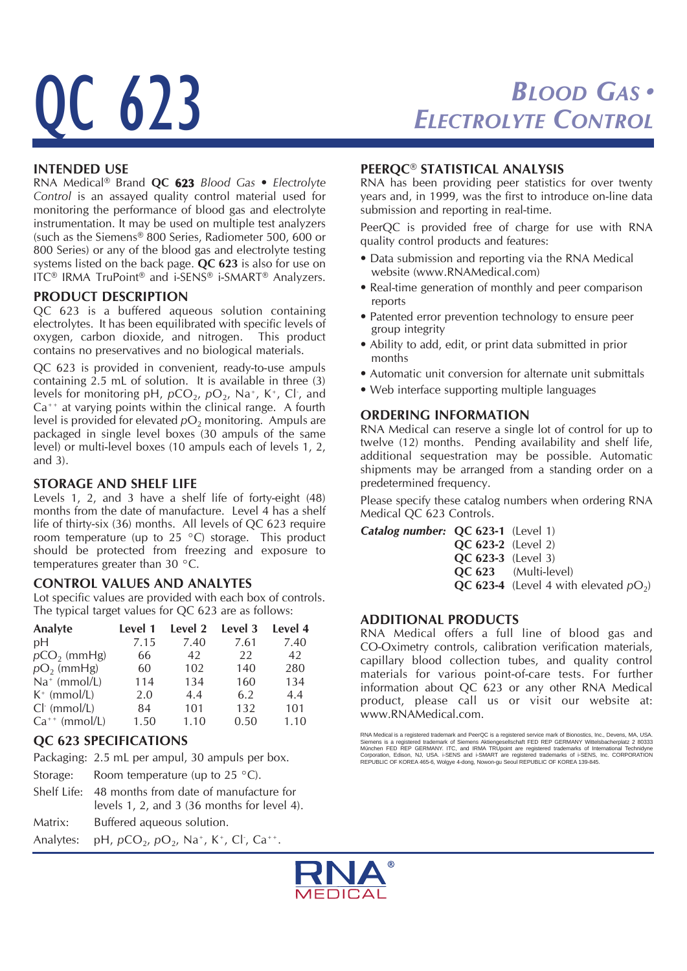# C 623

## *BLOOD GAS* ● *ELECTROLYTE CONTROL*

#### **INTENDED USE**

RNA Medical® Brand **QC 623** *Blood Gas • Electrolyte Control* is an assayed quality control material used for monitoring the performance of blood gas and electrolyte instrumentation. It may be used on multiple test analyzers (such as the Siemens® 800 Series, Radiometer 500, 600 or 800 Series) or any of the blood gas and electrolyte testing systems listed on the back page. **QC 623** is also for use on ITC® IRMA TruPoint® and i-SENS® i-SMART® Analyzers.

#### **PRODUCT DESCRIPTION**

QC 623 is a buffered aqueous solution containing electrolytes. It has been equilibrated with specific levels of oxygen, carbon dioxide, and nitrogen. This product contains no preservatives and no biological materials.

QC 623 is provided in convenient, ready-to-use ampuls containing 2.5 mL of solution. It is available in three (3) levels for monitoring pH, pCO<sub>2</sub>, pO<sub>2</sub>, Na<sup>+</sup>, K<sup>+</sup>, Cl<sup>-</sup>, and  $Ca^{++}$  at varying points within the clinical range. A fourth level is provided for elevated  $pO<sub>2</sub>$  monitoring. Ampuls are packaged in single level boxes (30 ampuls of the same level) or multi-level boxes (10 ampuls each of levels 1, 2, and 3).

#### **STORAGE AND SHELF LIFE**

Levels 1, 2, and 3 have a shelf life of forty-eight (48) months from the date of manufacture. Level 4 has a shelf life of thirty-six (36) months. All levels of QC 623 require room temperature (up to 25  $^{\circ}$ C) storage. This product should be protected from freezing and exposure to temperatures greater than 30 °C.

#### **CONTROL VALUES AND ANALYTES**

Lot specific values are provided with each box of controls. The typical target values for QC 623 are as follows:

| Analyte            | Level 1 | Level 2 | Level 3 | Level 4 |
|--------------------|---------|---------|---------|---------|
| pH                 | 7.15    | 7.40    | 7.61    | 7.40    |
| $pCO2$ (mmHg)      | 66      | 42      | 22      | 42      |
| $pO2$ (mmHg)       | 60      | 102     | 140     | 280     |
| $Na^+$ (mmol/L)    | 114     | 134     | 160     | 134     |
| $K^+$ (mmol/L)     | 2.0     | 4.4     | 6.2     | 4.4     |
| $Cl-$ (mmol/L)     | 84      | 101     | 132     | 101     |
| $Ca^{++}$ (mmol/L) | 1.50    | 1.10    | 0.50    | 1.10    |

### **QC 623 SPECIFICATIONS**

Packaging: 2.5 mL per ampul, 30 ampuls per box.

- Storage: Room temperature (up to  $25 \degree C$ ).
- Shelf Life: 48 months from date of manufacture for levels 1, 2, and 3 (36 months for level 4).

Matrix: Buffered aqueous solution.

Analytes: pH,  $pCO_2$ ,  $pO_2$ , Na<sup>+</sup>, K<sup>+</sup>, Cl<sup>-</sup>, Ca<sup>++</sup>.

#### **PEERQC® STATISTICAL ANALYSIS**

RNA has been providing peer statistics for over twenty years and, in 1999, was the first to introduce on-line data submission and reporting in real-time.

PeerQC is provided free of charge for use with RNA quality control products and features:

- Data submission and reporting via the RNA Medical website (www.RNAMedical.com)
- Real-time generation of monthly and peer comparison reports
- Patented error prevention technology to ensure peer group integrity
- Ability to add, edit, or print data submitted in prior months
- Automatic unit conversion for alternate unit submittals
- Web interface supporting multiple languages

#### **ORDERING INFORMATION**

RNA Medical can reserve a single lot of control for up to twelve (12) months. Pending availability and shelf life, additional sequestration may be possible. Automatic shipments may be arranged from a standing order on a predetermined frequency.

Please specify these catalog numbers when ordering RNA Medical QC 623 Controls.

| <b>Catalog number: QC 623-1</b> (Level 1) |                           |                                                 |
|-------------------------------------------|---------------------------|-------------------------------------------------|
|                                           | <b>QC 623-2</b> (Level 2) |                                                 |
|                                           | <b>QC 623-3</b> (Level 3) |                                                 |
|                                           |                           | <b>QC 623</b> (Multi-level)                     |
|                                           |                           | <b>QC 623-4</b> (Level 4 with elevated $pO_2$ ) |
|                                           |                           |                                                 |

#### **ADDITIONAL PRODUCTS**

RNA Medical offers a full line of blood gas and CO-Oximetry controls, calibration verification materials, capillary blood collection tubes, and quality control materials for various point-of-care tests. For further information about QC 623 or any other RNA Medical product, please call us or visit our website at: www.RNAMedical.com.



RNA Medical is a registered trademark and PeerQC is a registered service mark of Bionostics, Inc., Devens, MA, USA<br>Siemens is a registered trademark of Siemens Aktiengesellschaft FED REP GERMANY Wirlelsbacherplatz 2 80333<br>